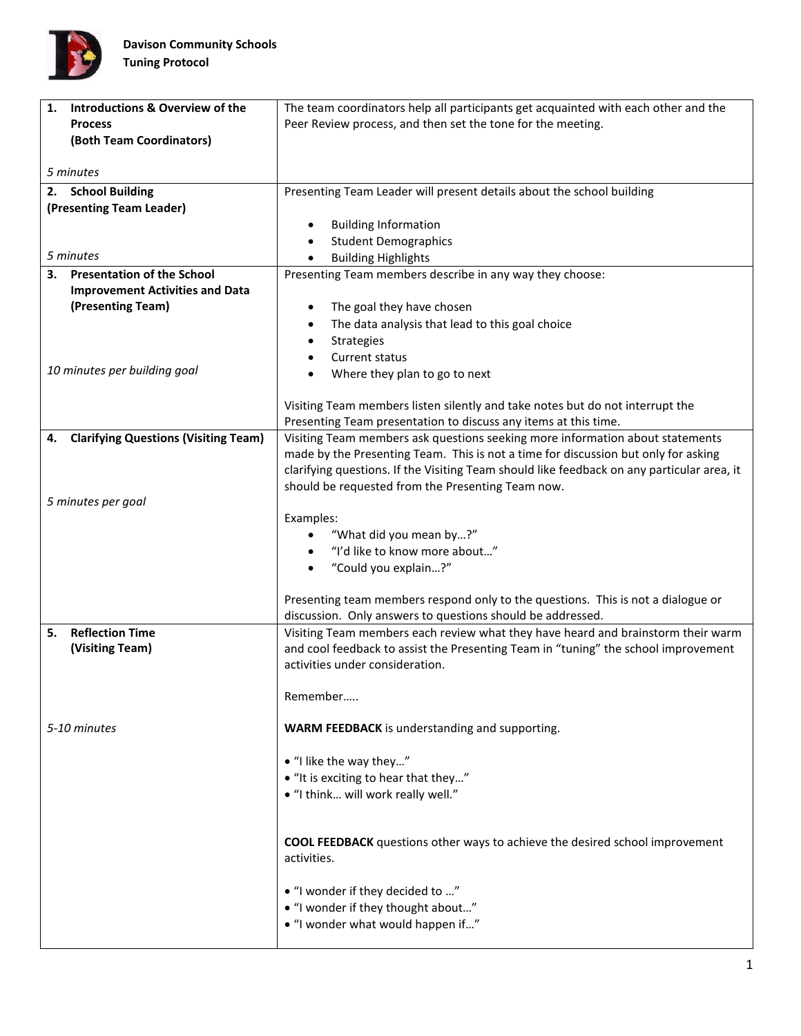

| <b>Introductions &amp; Overview of the</b><br>1.  | The team coordinators help all participants get acquainted with each other and the         |
|---------------------------------------------------|--------------------------------------------------------------------------------------------|
| <b>Process</b>                                    | Peer Review process, and then set the tone for the meeting.                                |
| (Both Team Coordinators)                          |                                                                                            |
|                                                   |                                                                                            |
| 5 minutes                                         |                                                                                            |
| 2. School Building                                | Presenting Team Leader will present details about the school building                      |
| (Presenting Team Leader)                          |                                                                                            |
|                                                   | <b>Building Information</b>                                                                |
|                                                   | <b>Student Demographics</b>                                                                |
| 5 minutes                                         | <b>Building Highlights</b><br>$\bullet$                                                    |
| <b>Presentation of the School</b><br>3.           | Presenting Team members describe in any way they choose:                                   |
| <b>Improvement Activities and Data</b>            |                                                                                            |
| (Presenting Team)                                 | The goal they have chosen<br>$\bullet$                                                     |
|                                                   | The data analysis that lead to this goal choice<br>٠                                       |
|                                                   | Strategies                                                                                 |
|                                                   | Current status                                                                             |
| 10 minutes per building goal                      | Where they plan to go to next                                                              |
|                                                   |                                                                                            |
|                                                   | Visiting Team members listen silently and take notes but do not interrupt the              |
|                                                   | Presenting Team presentation to discuss any items at this time.                            |
| <b>Clarifying Questions (Visiting Team)</b><br>4. | Visiting Team members ask questions seeking more information about statements              |
|                                                   | made by the Presenting Team. This is not a time for discussion but only for asking         |
|                                                   | clarifying questions. If the Visiting Team should like feedback on any particular area, it |
|                                                   | should be requested from the Presenting Team now.                                          |
| 5 minutes per goal                                |                                                                                            |
|                                                   | Examples:                                                                                  |
|                                                   | "What did you mean by?"                                                                    |
|                                                   | "I'd like to know more about"                                                              |
|                                                   | "Could you explain?"<br>$\bullet$                                                          |
|                                                   |                                                                                            |
|                                                   | Presenting team members respond only to the questions. This is not a dialogue or           |
|                                                   | discussion. Only answers to questions should be addressed.                                 |
| <b>Reflection Time</b><br>5.                      | Visiting Team members each review what they have heard and brainstorm their warm           |
| (Visiting Team)                                   | and cool feedback to assist the Presenting Team in "tuning" the school improvement         |
|                                                   | activities under consideration.                                                            |
|                                                   |                                                                                            |
|                                                   | Remember                                                                                   |
| 5-10 minutes                                      | <b>WARM FEEDBACK</b> is understanding and supporting.                                      |
|                                                   |                                                                                            |
|                                                   | • "I like the way they"                                                                    |
|                                                   | • "It is exciting to hear that they"                                                       |
|                                                   | • "I think will work really well."                                                         |
|                                                   |                                                                                            |
|                                                   |                                                                                            |
|                                                   | <b>COOL FEEDBACK</b> questions other ways to achieve the desired school improvement        |
|                                                   | activities.                                                                                |
|                                                   |                                                                                            |
|                                                   | • "I wonder if they decided to "                                                           |
|                                                   | • "I wonder if they thought about"                                                         |
|                                                   | • "I wonder what would happen if"                                                          |
|                                                   |                                                                                            |